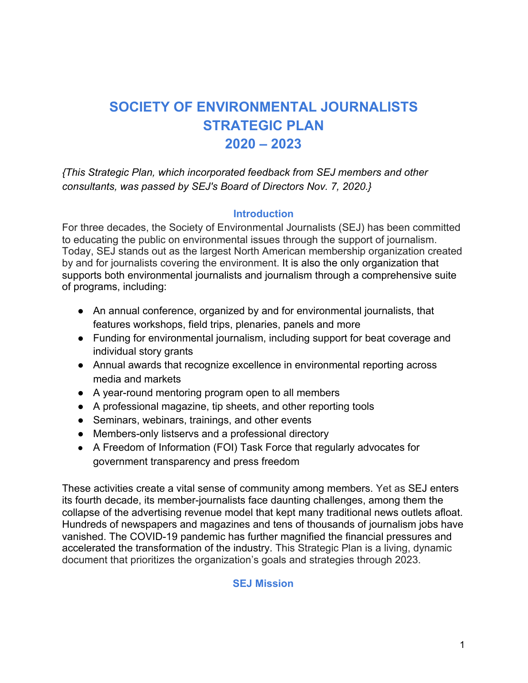# **SOCIETY OF ENVIRONMENTAL JOURNALISTS STRATEGIC PLAN 2020 – 2023**

*{This Strategic Plan, which incorporated feedback from SEJ members and other consultants, was passed by SEJ's Board of Directors Nov. 7, 2020.}*

#### **Introduction**

For three decades, the Society of Environmental Journalists (SEJ) has been committed to educating the public on environmental issues through the support of journalism. Today, SEJ stands out as the largest North American membership organization created by and for journalists covering the environment. It is also the only organization that supports both environmental journalists and journalism through a comprehensive suite of programs, including:

- An annual conference, organized by and for environmental journalists, that features workshops, field trips, plenaries, panels and more
- Funding for environmental journalism, including support for beat coverage and individual story grants
- Annual awards that recognize excellence in environmental reporting across media and markets
- A year-round mentoring program open to all members
- A professional magazine, tip sheets, and other reporting tools
- Seminars, webinars, trainings, and other events
- Members-only listservs and a professional directory
- A Freedom of Information (FOI) Task Force that regularly advocates for government transparency and press freedom

These activities create a vital sense of community among members. Yet as SEJ enters its fourth decade, its member-journalists face daunting challenges, among them the collapse of the advertising revenue model that kept many traditional news outlets afloat. Hundreds of newspapers and magazines and tens of thousands of journalism jobs have vanished. The COVID-19 pandemic has further magnified the financial pressures and accelerated the transformation of the industry. This Strategic Plan is a living, dynamic document that prioritizes the organization's goals and strategies through 2023.

#### **SEJ Mission**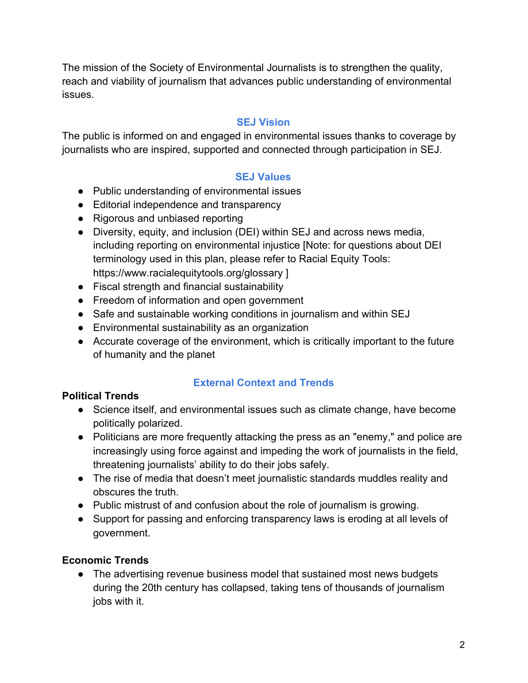The mission of the Society of Environmental Journalists is to strengthen the quality, reach and viability of journalism that advances public understanding of environmental issues.

## **SEJ Vision**

The public is informed on and engaged in environmental issues thanks to coverage by journalists who are inspired, supported and connected through participation in SEJ.

# **SEJ Values**

- Public understanding of environmental issues
- Editorial independence and transparency
- Rigorous and unbiased reporting
- Diversity, equity, and inclusion (DEI) within SEJ and across news media, including reporting on environmental injustice [Note: for questions about DEI terminology used in this plan, please refer to Racial Equity Tools: <https://www.racialequitytools.org/glossary> ]
- Fiscal strength and financial sustainability
- Freedom of information and open government
- Safe and sustainable working conditions in journalism and within SEJ
- Environmental sustainability as an organization
- Accurate coverage of the environment, which is critically important to the future of humanity and the planet

# **External Context and Trends**

#### **Political Trends**

- Science itself, and environmental issues such as climate change, have become politically polarized.
- Politicians are more frequently attacking the press as an "enemy," and police are increasingly using force against and impeding the work of journalists in the field, threatening journalists' ability to do their jobs safely.
- The rise of media that doesn't meet journalistic standards muddles reality and obscures the truth.
- Public mistrust of and confusion about the role of journalism is growing.
- Support for passing and enforcing transparency laws is eroding at all levels of government.

# **Economic Trends**

• The advertising revenue business model that sustained most news budgets during the 20th century has collapsed, taking tens of thousands of journalism jobs with it.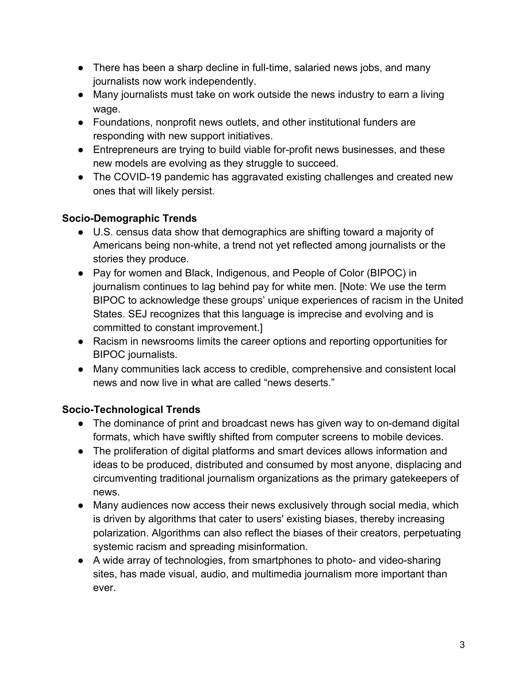- There has been a sharp decline in full-time, salaried news jobs, and many journalists now work independently.
- Many journalists must take on work outside the news industry to earn a living wage.
- Foundations, nonprofit news outlets, and other institutional funders are responding with new support initiatives.
- Entrepreneurs are trying to build viable for-profit news businesses, and these new models are evolving as they struggle to succeed.
- The COVID-19 pandemic has aggravated existing challenges and created new ones that will likely persist.

# **Socio-Demographic Trends**

- U.S. census data show that demographics are shifting toward a majority of Americans being non-white, a trend not yet reflected among journalists or the stories they produce.
- Pay for women and Black, Indigenous, and People of Color (BIPOC) in journalism continues to lag behind pay for white men. [Note: We use the term BIPOC to acknowledge these groups' unique experiences of racism in the United States. SEJ recognizes that this language is imprecise and evolving and is committed to constant improvement.]
- Racism in newsrooms limits the career options and reporting opportunities for BIPOC journalists.
- Many communities lack access to credible, comprehensive and consistent local news and now live in what are called "news deserts."

# **Socio-Technological Trends**

- The dominance of print and broadcast news has given way to on-demand digital formats, which have swiftly shifted from computer screens to mobile devices.
- The proliferation of digital platforms and smart devices allows information and ideas to be produced, distributed and consumed by most anyone, displacing and circumventing traditional journalism organizations as the primary gatekeepers of news.
- Many audiences now access their news exclusively through social media, which is driven by algorithms that cater to users' existing biases, thereby increasing polarization. Algorithms can also reflect the biases of their creators, perpetuating systemic racism and spreading misinformation.
- A wide array of technologies, from smartphones to photo- and video-sharing sites, has made visual, audio, and multimedia journalism more important than ever.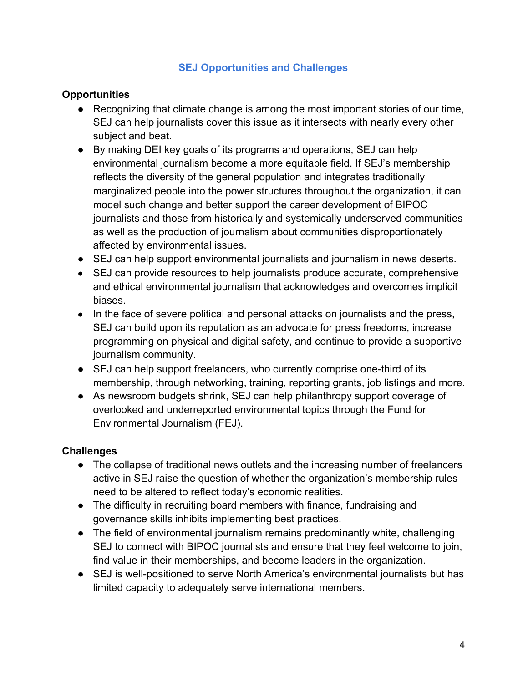## **SEJ Opportunities and Challenges**

### **Opportunities**

- Recognizing that climate change is among the most important stories of our time, SEJ can help journalists cover this issue as it intersects with nearly every other subject and beat.
- By making DEI key goals of its programs and operations, SEJ can help environmental journalism become a more equitable field. If SEJ's membership reflects the diversity of the general population and integrates traditionally marginalized people into the power structures throughout the organization, it can model such change and better support the career development of BIPOC journalists and those from historically and systemically underserved communities as well as the production of journalism about communities disproportionately affected by environmental issues.
- SEJ can help support environmental journalists and journalism in news deserts.
- SEJ can provide resources to help journalists produce accurate, comprehensive and ethical environmental journalism that acknowledges and overcomes implicit biases.
- In the face of severe political and personal attacks on journalists and the press, SEJ can build upon its reputation as an advocate for press freedoms, increase programming on physical and digital safety, and continue to provide a supportive journalism community.
- SEJ can help support freelancers, who currently comprise one-third of its membership, through networking, training, reporting grants, job listings and more.
- As newsroom budgets shrink, SEJ can help philanthropy support coverage of overlooked and underreported environmental topics through the Fund for Environmental Journalism (FEJ).

# **Challenges**

- The collapse of traditional news outlets and the increasing number of freelancers active in SEJ raise the question of whether the organization's membership rules need to be altered to reflect today's economic realities.
- The difficulty in recruiting board members with finance, fundraising and governance skills inhibits implementing best practices.
- The field of environmental journalism remains predominantly white, challenging SEJ to connect with BIPOC journalists and ensure that they feel welcome to join, find value in their memberships, and become leaders in the organization.
- SEJ is well-positioned to serve North America's environmental journalists but has limited capacity to adequately serve international members.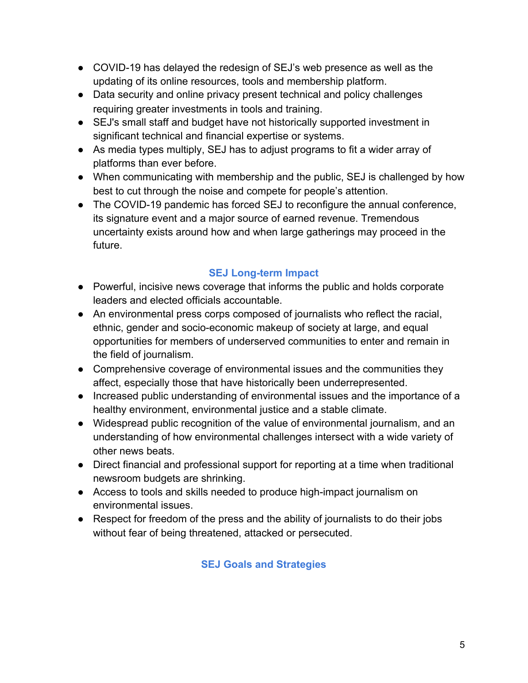- COVID-19 has delayed the redesign of SEJ's web presence as well as the updating of its online resources, tools and membership platform.
- Data security and online privacy present technical and policy challenges requiring greater investments in tools and training.
- SEJ's small staff and budget have not historically supported investment in significant technical and financial expertise or systems.
- As media types multiply, SEJ has to adjust programs to fit a wider array of platforms than ever before.
- When communicating with membership and the public, SEJ is challenged by how best to cut through the noise and compete for people's attention.
- The COVID-19 pandemic has forced SEJ to reconfigure the annual conference, its signature event and a major source of earned revenue. Tremendous uncertainty exists around how and when large gatherings may proceed in the future.

# **SEJ Long-term Impact**

- Powerful, incisive news coverage that informs the public and holds corporate leaders and elected officials accountable.
- An environmental press corps composed of journalists who reflect the racial, ethnic, gender and socio-economic makeup of society at large, and equal opportunities for members of underserved communities to enter and remain in the field of journalism.
- Comprehensive coverage of environmental issues and the communities they affect, especially those that have historically been underrepresented.
- Increased public understanding of environmental issues and the importance of a healthy environment, environmental justice and a stable climate.
- Widespread public recognition of the value of environmental journalism, and an understanding of how environmental challenges intersect with a wide variety of other news beats.
- Direct financial and professional support for reporting at a time when traditional newsroom budgets are shrinking.
- Access to tools and skills needed to produce high-impact journalism on environmental issues.
- Respect for freedom of the press and the ability of journalists to do their jobs without fear of being threatened, attacked or persecuted.

# **SEJ Goals and Strategies**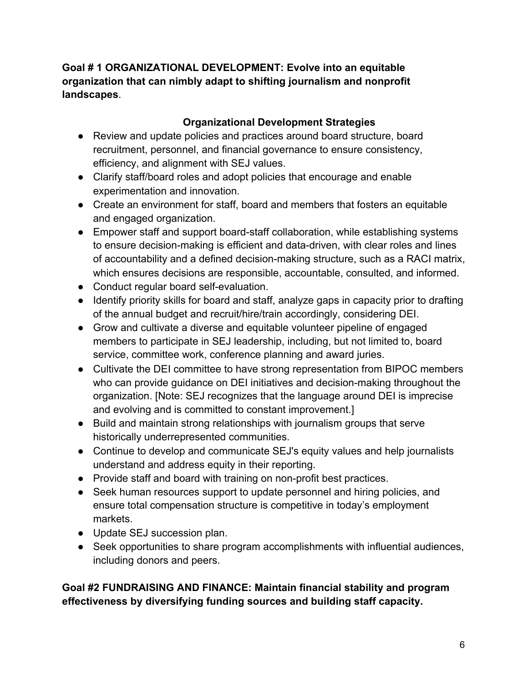**Goal # 1 ORGANIZATIONAL DEVELOPMENT: Evolve into an equitable organization that can nimbly adapt to shifting journalism and nonprofit landscapes**.

## **Organizational Development Strategies**

- Review and update policies and practices around board structure, board recruitment, personnel, and financial governance to ensure consistency, efficiency, and alignment with SEJ values.
- Clarify staff/board roles and adopt policies that encourage and enable experimentation and innovation.
- Create an environment for staff, board and members that fosters an equitable and engaged organization.
- Empower staff and support board-staff collaboration, while establishing systems to ensure decision-making is efficient and data-driven, with clear roles and lines of accountability and a defined decision-making structure, such as a RACI matrix, which ensures decisions are responsible, accountable, consulted, and informed.
- Conduct regular board self-evaluation.
- Identify priority skills for board and staff, analyze gaps in capacity prior to drafting of the annual budget and recruit/hire/train accordingly, considering DEI.
- Grow and cultivate a diverse and equitable volunteer pipeline of engaged members to participate in SEJ leadership, including, but not limited to, board service, committee work, conference planning and award juries.
- Cultivate the DEI committee to have strong representation from BIPOC members who can provide guidance on DEI initiatives and decision-making throughout the organization. [Note: SEJ recognizes that the language around DEI is imprecise and evolving and is committed to constant improvement.]
- Build and maintain strong relationships with journalism groups that serve historically underrepresented communities.
- Continue to develop and communicate SEJ's equity values and help journalists understand and address equity in their reporting.
- Provide staff and board with training on non-profit best practices.
- Seek human resources support to update personnel and hiring policies, and ensure total compensation structure is competitive in today's employment markets.
- Update SEJ succession plan.
- Seek opportunities to share program accomplishments with influential audiences, including donors and peers.

# **Goal #2 FUNDRAISING AND FINANCE: Maintain financial stability and program effectiveness by diversifying funding sources and building staff capacity.**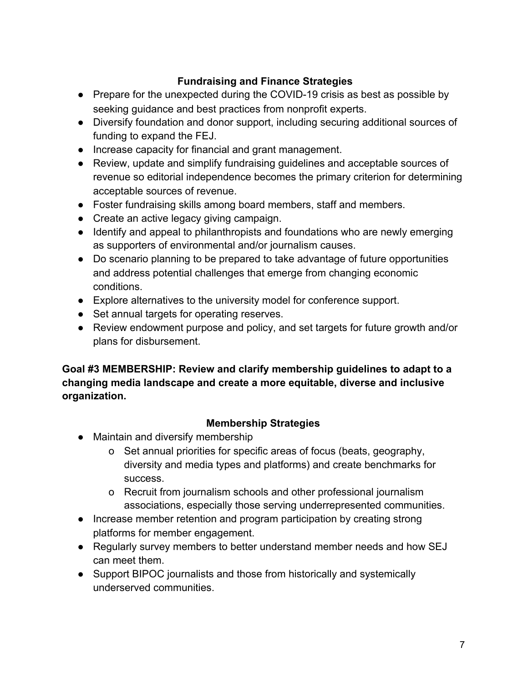# **Fundraising and Finance Strategies**

- Prepare for the unexpected during the COVID-19 crisis as best as possible by seeking guidance and best practices from nonprofit experts.
- Diversify foundation and donor support, including securing additional sources of funding to expand the FEJ.
- Increase capacity for financial and grant management.
- Review, update and simplify fundraising guidelines and acceptable sources of revenue so editorial independence becomes the primary criterion for determining acceptable sources of revenue.
- Foster fundraising skills among board members, staff and members.
- Create an active legacy giving campaign.
- Identify and appeal to philanthropists and foundations who are newly emerging as supporters of environmental and/or journalism causes.
- Do scenario planning to be prepared to take advantage of future opportunities and address potential challenges that emerge from changing economic conditions.
- Explore alternatives to the university model for conference support.
- Set annual targets for operating reserves.
- Review endowment purpose and policy, and set targets for future growth and/or plans for disbursement.

# **Goal #3 MEMBERSHIP: Review and clarify membership guidelines to adapt to a changing media landscape and create a more equitable, diverse and inclusive organization.**

# **Membership Strategies**

- Maintain and diversify membership
	- o Set annual priorities for specific areas of focus (beats, geography, diversity and media types and platforms) and create benchmarks for success.
	- o Recruit from journalism schools and other professional journalism associations, especially those serving underrepresented communities.
- Increase member retention and program participation by creating strong platforms for member engagement.
- Regularly survey members to better understand member needs and how SEJ can meet them.
- Support BIPOC journalists and those from historically and systemically underserved communities.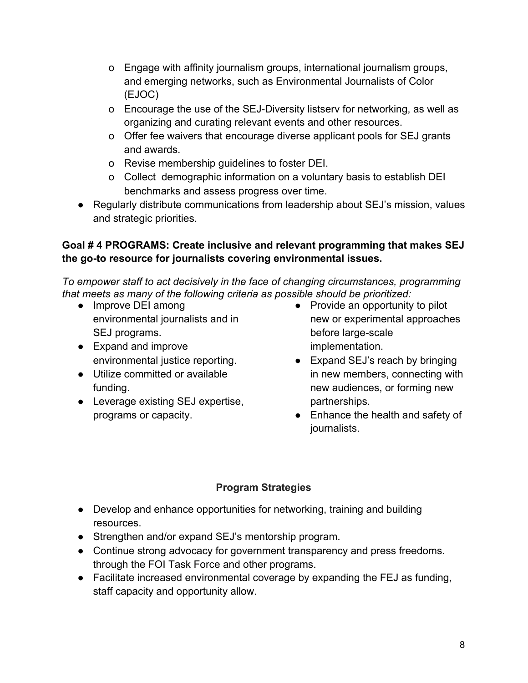- o Engage with affinity journalism groups, international journalism groups, and emerging networks, such as Environmental Journalists of Color (EJOC)
- o Encourage the use of the SEJ-Diversity listserv for networking, as well as organizing and curating relevant events and other resources.
- o Offer fee waivers that encourage diverse applicant pools for SEJ grants and awards.
- o Revise membership guidelines to foster DEI.
- o Collect demographic information on a voluntary basis to establish DEI benchmarks and assess progress over time.
- Regularly distribute communications from leadership about SEJ's mission, values and strategic priorities.

# **Goal # 4 PROGRAMS: Create inclusive and relevant programming that makes SEJ the go-to resource for journalists covering environmental issues.**

*To empower staff to act decisively in the face of changing circumstances, programming that meets as many of the following criteria as possible should be prioritized:*

- Improve DEI among environmental journalists and in SEJ programs.
- Expand and improve environmental justice reporting.
- Utilize committed or available funding.
- Leverage existing SEJ expertise, programs or capacity.
- $\bullet$  Provide an opportunity to pilot new or experimental approaches before large-scale implementation.
- Expand SEJ's reach by bringing in new members, connecting with new audiences, or forming new partnerships.
- Enhance the health and safety of journalists.

# **Program Strategies**

- Develop and enhance opportunities for networking, training and building resources.
- Strengthen and/or expand SEJ's mentorship program.
- Continue strong advocacy for government transparency and press freedoms. through the FOI Task Force and other programs.
- Facilitate increased environmental coverage by expanding the FEJ as funding, staff capacity and opportunity allow.